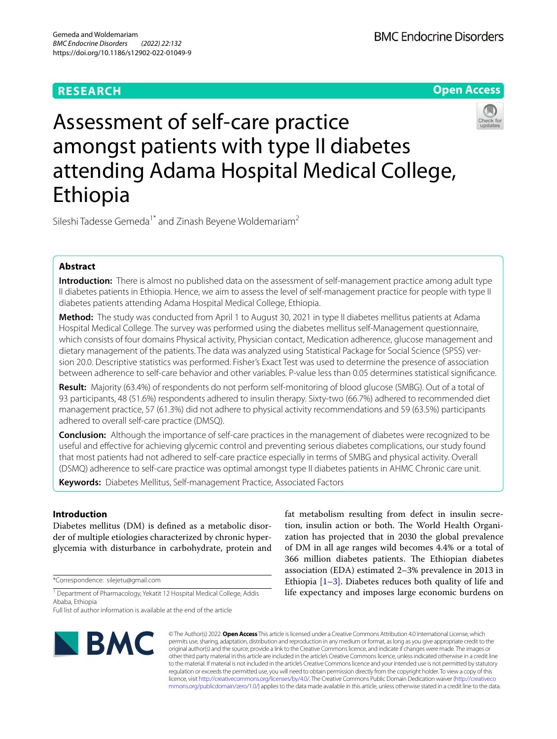# **RESEARCH**





Sileshi Tadesse Gemeda<sup>1\*</sup> and Zinash Beyene Woldemariam<sup>2</sup>

# **Abstract**

**Introduction:** There is almost no published data on the assessment of self-management practice among adult type II diabetes patients in Ethiopia. Hence, we aim to assess the level of self-management practice for people with type II diabetes patients attending Adama Hospital Medical College, Ethiopia.

**Method:** The study was conducted from April 1 to August 30, 2021 in type II diabetes mellitus patients at Adama Hospital Medical College. The survey was performed using the diabetes mellitus self-Management questionnaire, which consists of four domains Physical activity, Physician contact, Medication adherence, glucose management and dietary management of the patients. The data was analyzed using Statistical Package for Social Science (SPSS) version 20.0. Descriptive statistics was performed. Fisher's Exact Test was used to determine the presence of association between adherence to self-care behavior and other variables. P-value less than 0.05 determines statistical signifcance.

**Result:** Majority (63.4%) of respondents do not perform self-monitoring of blood glucose (SMBG). Out of a total of 93 participants, 48 (51.6%) respondents adhered to insulin therapy. Sixty-two (66.7%) adhered to recommended diet management practice, 57 (61.3%) did not adhere to physical activity recommendations and 59 (63.5%) participants adhered to overall self-care practice (DMSQ).

**Conclusion:** Although the importance of self-care practices in the management of diabetes were recognized to be useful and efective for achieving glycemic control and preventing serious diabetes complications, our study found that most patients had not adhered to self-care practice especially in terms of SMBG and physical activity. Overall (DSMQ) adherence to self-care practice was optimal amongst type II diabetes patients in AHMC Chronic care unit.

**Keywords:** Diabetes Mellitus, Self-management Practice, Associated Factors

## **Introduction**

Diabetes mellitus (DM) is defned as a metabolic disorder of multiple etiologies characterized by chronic hyperglycemia with disturbance in carbohydrate, protein and

\*Correspondence: silejetu@gmail.com

<sup>1</sup> Department of Pharmacology, Yekatit 12 Hospital Medical College, Addis Ababa, Ethiopia

Full list of author information is available at the end of the article

tion, insulin action or both. The World Health Organization has projected that in 2030 the global prevalence of DM in all age ranges wild becomes 4.4% or a total of 366 million diabetes patients. The Ethiopian diabetes association (EDA) estimated 2–3% prevalence in 2013 in Ethiopia  $[1-3]$  $[1-3]$ . Diabetes reduces both quality of life and life expectancy and imposes large economic burdens on

fat metabolism resulting from defect in insulin secre-



© The Author(s) 2022. **Open Access** This article is licensed under a Creative Commons Attribution 4.0 International License, which permits use, sharing, adaptation, distribution and reproduction in any medium or format, as long as you give appropriate credit to the original author(s) and the source, provide a link to the Creative Commons licence, and indicate if changes were made. The images or other third party material in this article are included in the article's Creative Commons licence, unless indicated otherwise in a credit line to the material. If material is not included in the article's Creative Commons licence and your intended use is not permitted by statutory regulation or exceeds the permitted use, you will need to obtain permission directly from the copyright holder. To view a copy of this licence, visit [http://creativecommons.org/licenses/by/4.0/.](http://creativecommons.org/licenses/by/4.0/) The Creative Commons Public Domain Dedication waiver ([http://creativeco](http://creativecommons.org/publicdomain/zero/1.0/) [mmons.org/publicdomain/zero/1.0/](http://creativecommons.org/publicdomain/zero/1.0/)) applies to the data made available in this article, unless otherwise stated in a credit line to the data.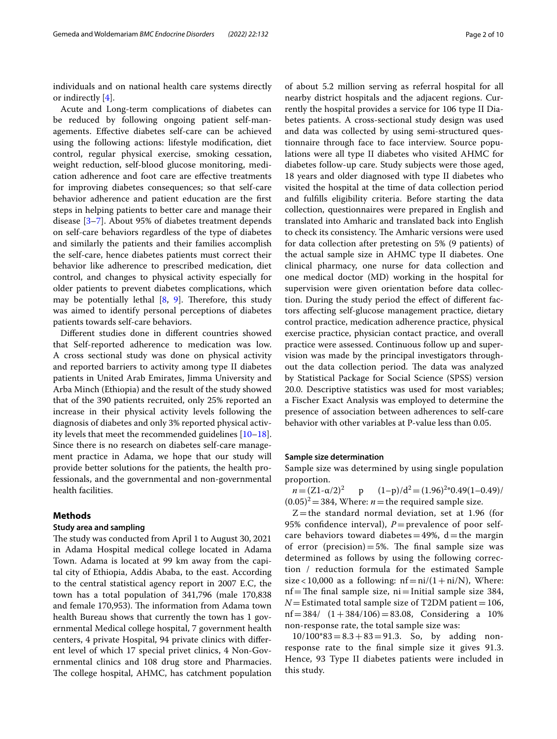individuals and on national health care systems directly or indirectly [\[4](#page-9-2)].

Acute and Long-term complications of diabetes can be reduced by following ongoing patient self-managements. Efective diabetes self-care can be achieved using the following actions: lifestyle modifcation, diet control, regular physical exercise, smoking cessation, weight reduction, self-blood glucose monitoring, medication adherence and foot care are efective treatments for improving diabetes consequences; so that self-care behavior adherence and patient education are the frst steps in helping patients to better care and manage their disease [\[3](#page-9-1)[–7\]](#page-9-3). About 95% of diabetes treatment depends on self-care behaviors regardless of the type of diabetes and similarly the patients and their families accomplish the self-care, hence diabetes patients must correct their behavior like adherence to prescribed medication, diet control, and changes to physical activity especially for older patients to prevent diabetes complications, which may be potentially lethal  $[8, 9]$  $[8, 9]$  $[8, 9]$ . Therefore, this study was aimed to identify personal perceptions of diabetes patients towards self-care behaviors.

Diferent studies done in diferent countries showed that Self-reported adherence to medication was low. A cross sectional study was done on physical activity and reported barriers to activity among type II diabetes patients in United Arab Emirates, Jimma University and Arba Minch (Ethiopia) and the result of the study showed that of the 390 patients recruited, only 25% reported an increase in their physical activity levels following the diagnosis of diabetes and only 3% reported physical activity levels that meet the recommended guidelines [[10](#page-9-6)[–18](#page-9-7)]. Since there is no research on diabetes self-care management practice in Adama, we hope that our study will provide better solutions for the patients, the health professionals, and the governmental and non-governmental health facilities.

### **Methods**

### **Study area and sampling**

The study was conducted from April 1 to August 30, 2021 in Adama Hospital medical college located in Adama Town. Adama is located at 99 km away from the capital city of Ethiopia, Addis Ababa, to the east. According to the central statistical agency report in 2007 E.C, the town has a total population of 341,796 (male 170,838 and female 170,953). The information from Adama town health Bureau shows that currently the town has 1 governmental Medical college hospital, 7 government health centers, 4 private Hospital, 94 private clinics with diferent level of which 17 special privet clinics, 4 Non-Governmental clinics and 108 drug store and Pharmacies. The college hospital, AHMC, has catchment population

of about 5.2 million serving as referral hospital for all nearby district hospitals and the adjacent regions. Currently the hospital provides a service for 106 type II Diabetes patients. A cross-sectional study design was used and data was collected by using semi-structured questionnaire through face to face interview. Source populations were all type II diabetes who visited AHMC for diabetes follow-up care. Study subjects were those aged, 18 years and older diagnosed with type II diabetes who visited the hospital at the time of data collection period and fulflls eligibility criteria. Before starting the data collection, questionnaires were prepared in English and translated into Amharic and translated back into English to check its consistency. The Amharic versions were used for data collection after pretesting on 5% (9 patients) of the actual sample size in AHMC type II diabetes. One clinical pharmacy, one nurse for data collection and one medical doctor (MD) working in the hospital for supervision were given orientation before data collection. During the study period the efect of diferent factors afecting self-glucose management practice, dietary control practice, medication adherence practice, physical exercise practice, physician contact practice, and overall practice were assessed. Continuous follow up and supervision was made by the principal investigators throughout the data collection period. The data was analyzed by Statistical Package for Social Science (SPSS) version 20.0. Descriptive statistics was used for most variables; a Fischer Exact Analysis was employed to determine the presence of association between adherences to self-care behavior with other variables at P-value less than 0.05.

#### **Sample size determination**

Sample size was determined by using single population proportion.

*n*= $(Z1 - \alpha/2)^2$  p  $p \qquad (1-p)/d^2 = (1.96)^{2*}0.49(1-0.49)$  $(0.05)^2$  = 384, Where: *n* = the required sample size.

 $Z$  = the standard normal deviation, set at 1.96 (for 95% confidence interval),  $P =$ prevalence of poor selfcare behaviors toward diabetes =  $49\%$ , d = the margin of error (precision) = 5%. The final sample size was determined as follows by using the following correction / reduction formula for the estimated Sample size < 10,000 as a following:  $nf = ni/(1 + ni/N)$ , Where:  $nf$  The final sample size, ni = Initial sample size 384,  $N$ = Estimated total sample size of T2DM patient = 106, nf = 384/  $(1+384/106)$  = 83.08, Considering a 10% non-response rate, the total sample size was:

 $10/100*83 = 8.3 + 83 = 91.3$ . So, by adding nonresponse rate to the fnal simple size it gives 91.3. Hence, 93 Type II diabetes patients were included in this study.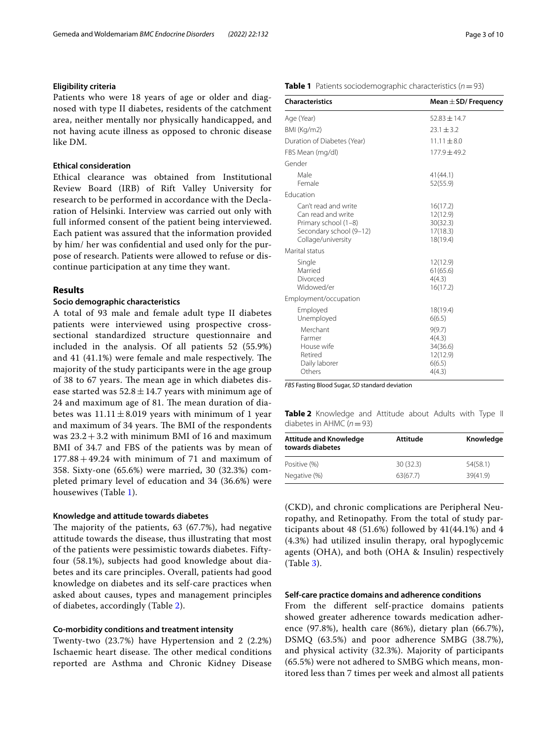### **Eligibility criteria**

Patients who were 18 years of age or older and diagnosed with type II diabetes, residents of the catchment area, neither mentally nor physically handicapped, and not having acute illness as opposed to chronic disease like DM.

### **Ethical consideration**

Ethical clearance was obtained from Institutional Review Board (IRB) of Rift Valley University for research to be performed in accordance with the Declaration of Helsinki. Interview was carried out only with full informed consent of the patient being interviewed. Each patient was assured that the information provided by him/ her was confdential and used only for the purpose of research. Patients were allowed to refuse or discontinue participation at any time they want.

### **Results**

### **Socio demographic characteristics**

A total of 93 male and female adult type II diabetes patients were interviewed using prospective crosssectional standardized structure questionnaire and included in the analysis. Of all patients 52 (55.9%) and  $41$   $(41.1\%)$  were female and male respectively. The majority of the study participants were in the age group of 38 to 67 years. The mean age in which diabetes disease started was  $52.8 \pm 14.7$  years with minimum age of 24 and maximum age of 81. The mean duration of diabetes was  $11.11 \pm 8.019$  years with minimum of 1 year and maximum of 34 years. The BMI of the respondents was  $23.2 + 3.2$  with minimum BMI of 16 and maximum BMI of 34.7 and FBS of the patients was by mean of  $177.88 + 49.24$  with minimum of 71 and maximum of 358. Sixty-one (65.6%) were married, 30 (32.3%) completed primary level of education and 34 (36.6%) were housewives (Table [1](#page-2-0)).

#### **Knowledge and attitude towards diabetes**

The majority of the patients,  $63$  ( $67.7\%$ ), had negative attitude towards the disease, thus illustrating that most of the patients were pessimistic towards diabetes. Fiftyfour (58.1%), subjects had good knowledge about diabetes and its care principles. Overall, patients had good knowledge on diabetes and its self-care practices when asked about causes, types and management principles of diabetes, accordingly (Table [2](#page-2-1)).

#### **Co‑morbidity conditions and treatment intensity**

Twenty-two (23.7%) have Hypertension and 2 (2.2%) Ischaemic heart disease. The other medical conditions reported are Asthma and Chronic Kidney Disease

### <span id="page-2-0"></span>**Table 1** Patients sociodemographic characteristics (*n*=93)

| <b>Characteristics</b>                                                                                              | Mean $\pm$ SD/ Frequency                                     |
|---------------------------------------------------------------------------------------------------------------------|--------------------------------------------------------------|
| Age (Year)                                                                                                          | $52.83 + 14.7$                                               |
| BMI (Kg/m2)                                                                                                         | $23.1 + 3.2$                                                 |
| Duration of Diabetes (Year)                                                                                         | $11.11 \pm 8.0$                                              |
| FBS Mean (mg/dl)                                                                                                    | $177.9 \pm 49.2$                                             |
| Gender                                                                                                              |                                                              |
| Male<br>Female                                                                                                      | 41(44.1)<br>52(55.9)                                         |
| Fducation                                                                                                           |                                                              |
| Can't read and write<br>Can read and write<br>Primary school (1-8)<br>Secondary school (9-12)<br>Collage/university | 16(17.2)<br>12(12.9)<br>30(32.3)<br>17(18.3)<br>18(19.4)     |
| Marital status                                                                                                      |                                                              |
| Single<br>Married<br>Divorced<br>Widowed/er                                                                         | 12(12.9)<br>61(65.6)<br>4(4.3)<br>16(17.2)                   |
| Employment/occupation                                                                                               |                                                              |
| Employed<br>Unemployed                                                                                              | 18(19.4)<br>6(6.5)                                           |
| Merchant<br>Farmer<br>House wife<br>Retired<br>Daily laborer<br>Others                                              | 9(9.7)<br>4(4.3)<br>34(36.6)<br>12(12.9)<br>6(6.5)<br>4(4.3) |

*FBS* Fasting Blood Sugar, *SD* standard deviation

<span id="page-2-1"></span>**Table 2** Knowledge and Attitude about Adults with Type II diabetes in AHMC (*n*=93)

| <b>Attitude and Knowledge</b><br>towards diabetes | Attitude | Knowledge |
|---------------------------------------------------|----------|-----------|
| Positive (%)                                      | 30(32.3) | 54(58.1)  |
| Negative (%)                                      | 63(67.7) | 39(41.9)  |

(CKD), and chronic complications are Peripheral Neuropathy, and Retinopathy. From the total of study participants about 48 (51.6%) followed by  $41(44.1\%)$  and  $4$ (4.3%) had utilized insulin therapy, oral hypoglycemic agents (OHA), and both (OHA & Insulin) respectively (Table [3\)](#page-3-0).

### **Self‑care practice domains and adherence conditions**

From the diferent self-practice domains patients showed greater adherence towards medication adherence (97.8%), health care (86%), dietary plan (66.7%), DSMQ (63.5%) and poor adherence SMBG (38.7%), and physical activity (32.3%). Majority of participants (65.5%) were not adhered to SMBG which means, monitored less than 7 times per week and almost all patients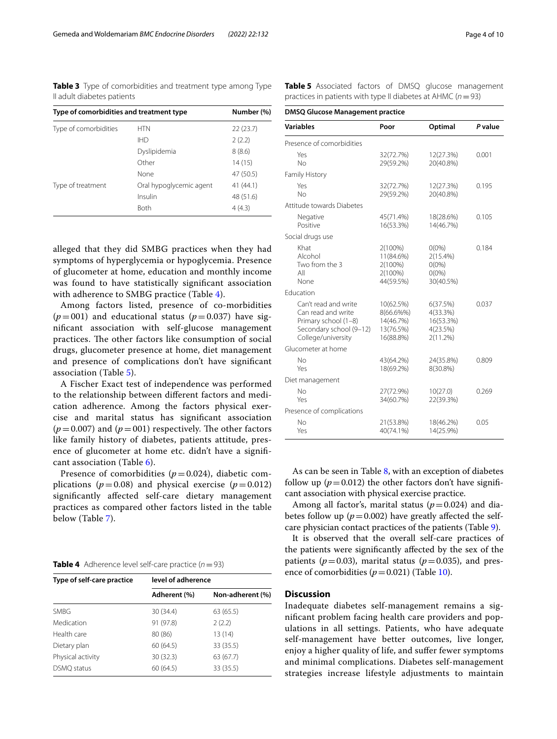<span id="page-3-0"></span>**Table 3** Type of comorbidities and treatment type among Type II adult diabetes patients

| Type of comorbidities and treatment type |                         | Number (%) |
|------------------------------------------|-------------------------|------------|
| Type of comorbidities                    | <b>HTN</b>              | 22(23.7)   |
|                                          | <b>IHD</b>              | 2(2.2)     |
|                                          | Dyslipidemia            | 8(8.6)     |
|                                          | Other                   | 14(15)     |
|                                          | None                    | 47 (50.5)  |
| Type of treatment                        | Oral hypoglycemic agent | 41(44.1)   |
|                                          | Insulin                 | 48 (51.6)  |
|                                          | <b>Both</b>             | 4(4.3)     |

alleged that they did SMBG practices when they had symptoms of hyperglycemia or hypoglycemia. Presence of glucometer at home, education and monthly income was found to have statistically signifcant association with adherence to SMBG practice (Table [4](#page-3-1)).

Among factors listed, presence of co-morbidities  $(p=001)$  and educational status  $(p=0.037)$  have signifcant association with self-glucose management practices. The other factors like consumption of social drugs, glucometer presence at home, diet management and presence of complications don't have signifcant association (Table [5](#page-3-2)).

A Fischer Exact test of independence was performed to the relationship between diferent factors and medication adherence. Among the factors physical exercise and marital status has signifcant association  $(p=0.007)$  and  $(p=001)$  respectively. The other factors like family history of diabetes, patients attitude, presence of glucometer at home etc. didn't have a signifcant association (Table [6\)](#page-4-0).

Presence of comorbidities  $(p=0.024)$ , diabetic complications ( $p=0.08$ ) and physical exercise ( $p=0.012$ ) signifcantly afected self-care dietary management practices as compared other factors listed in the table below (Table [7](#page-5-0)).

<span id="page-3-1"></span>

| <b>Table 4</b> Adherence level self-care practice $(n=93)$ |  |  |
|------------------------------------------------------------|--|--|
|------------------------------------------------------------|--|--|

| Type of self-care practice | level of adherence |                  |  |  |
|----------------------------|--------------------|------------------|--|--|
|                            | Adherent (%)       | Non-adherent (%) |  |  |
| <b>SMBG</b>                | 30(34.4)           | 63 (65.5)        |  |  |
| Medication                 | 91 (97.8)          | 2(2.2)           |  |  |
| Health care                | 80 (86)            | 13 (14)          |  |  |
| Dietary plan               | 60 (64.5)          | 33 (35.5)        |  |  |
| Physical activity          | 30 (32.3)          | 63 (67.7)        |  |  |
| DSMQ status                | 60 (64.5)          | 33 (35.5)        |  |  |

<span id="page-3-2"></span>**Table 5** Associated factors of DMSQ glucose management practices in patients with type II diabetes at AHMC (*n*=93)

**DMSQ Glucose Management practice**

| <b>Variables</b>                                                                                                    | Poor                                                          | Optimal                                                      | P value |
|---------------------------------------------------------------------------------------------------------------------|---------------------------------------------------------------|--------------------------------------------------------------|---------|
| Presence of comorbidities                                                                                           |                                                               |                                                              |         |
| Yes<br>No                                                                                                           | 32(72.7%)<br>29(59.2%)                                        | 12(27.3%)<br>20(40.8%)                                       | 0.001   |
| Family History                                                                                                      |                                                               |                                                              |         |
| Yes<br>N <sub>o</sub>                                                                                               | 32(72.7%)<br>29(59.2%)                                        | 12(27.3%)<br>20(40.8%)                                       | 0.195   |
| Attitude towards Diabetes                                                                                           |                                                               |                                                              |         |
| Negative<br>Positive                                                                                                | 45(71.4%)<br>16(53.3%)                                        | 18(28.6%)<br>14(46.7%)                                       | 0.105   |
| Social drugs use                                                                                                    |                                                               |                                                              |         |
| Khat<br>Alcohol<br>Two from the 3<br>All<br>None                                                                    | 2(100%)<br>11(84.6%)<br>2(100%)<br>2(100%)<br>44(59.5%)       | $0(0\%)$<br>$2(15.4\%)$<br>$0(0\%)$<br>$0(0\%)$<br>30(40.5%) | 0.184   |
| Education                                                                                                           |                                                               |                                                              |         |
| Can't read and write<br>Can read and write<br>Primary school (1-8)<br>Secondary school (9-12)<br>College/university | 10(62.5%)<br>8(66.6%%)<br>14(46.7%)<br>13(76.5%)<br>16(88.8%) | 6(37.5%)<br>$4(33.3\%)$<br>16(53.3%)<br>4(23.5%)<br>2(11.2%) | 0.037   |
| Glucometer at home                                                                                                  |                                                               |                                                              |         |
| No<br>Yes                                                                                                           | 43(64.2%)<br>18(69.2%)                                        | 24(35.8%)<br>8(30.8%)                                        | 0.809   |
| Diet management                                                                                                     |                                                               |                                                              |         |
| No<br>Yes                                                                                                           | 27(72.9%)<br>34(60.7%)                                        | 10(27.0)<br>22(39.3%)                                        | 0.269   |
| Presence of complications                                                                                           |                                                               |                                                              |         |
| No<br>Yes                                                                                                           | 21(53.8%)<br>40(74.1%)                                        | 18(46.2%)<br>14(25.9%)                                       | 0.05    |

As can be seen in Table [8](#page-6-0), with an exception of diabetes follow up ( $p = 0.012$ ) the other factors don't have significant association with physical exercise practice.

Among all factor's, marital status ( $p=0.024$ ) and diabetes follow up  $(p=0.002)$  have greatly affected the selfcare physician contact practices of the patients (Table [9](#page-7-0)).

It is observed that the overall self-care practices of the patients were signifcantly afected by the sex of the patients ( $p=0.03$ ), marital status ( $p=0.035$ ), and presence of comorbidities  $(p=0.021)$  (Table [10\)](#page-8-0).

### **Discussion**

Inadequate diabetes self-management remains a signifcant problem facing health care providers and populations in all settings. Patients, who have adequate self-management have better outcomes, live longer, enjoy a higher quality of life, and sufer fewer symptoms and minimal complications. Diabetes self-management strategies increase lifestyle adjustments to maintain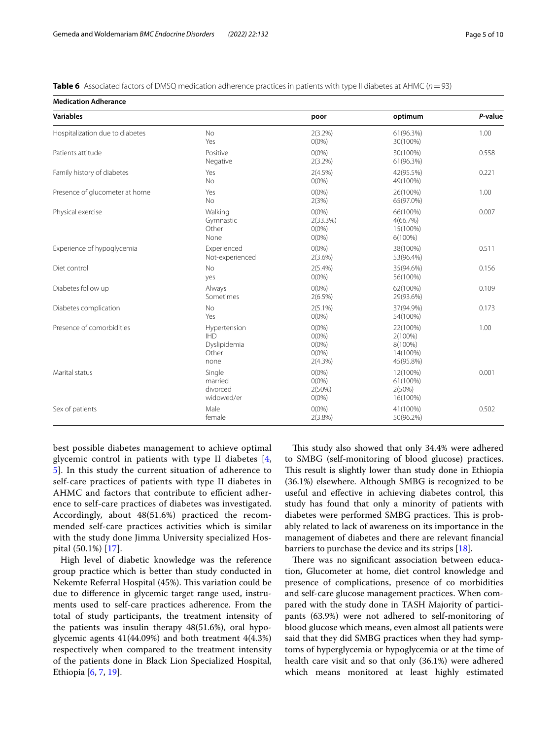<span id="page-4-0"></span>

| Table 6 Associated factors of DMSQ medication adherence practices in patients with type II diabetes at AHMC (n = 93) |
|----------------------------------------------------------------------------------------------------------------------|
|----------------------------------------------------------------------------------------------------------------------|

**Medication Adherance**

| Medication Adherance            |                                                             |                                                         |                                                         |         |
|---------------------------------|-------------------------------------------------------------|---------------------------------------------------------|---------------------------------------------------------|---------|
| <b>Variables</b>                |                                                             | poor                                                    | optimum                                                 | P-value |
| Hospitalization due to diabetes | <b>No</b><br>Yes                                            | $2(3.2\%)$<br>$O(0\%)$                                  | 61(96.3%)<br>30(100%)                                   | 1.00    |
| Patients attitude               | Positive<br>Negative                                        | $O(0\%)$<br>$2(3.2\%)$                                  | 30(100%)<br>61(96.3%)                                   | 0.558   |
| Family history of diabetes      | Yes<br><b>No</b>                                            | $2(4.5\%)$<br>$O(0\%)$                                  | 42(95.5%)<br>49(100%)                                   | 0.221   |
| Presence of glucometer at home  | Yes<br><b>No</b>                                            | $O(0\%)$<br>2(3%)                                       | 26(100%)<br>65(97.0%)                                   | 1.00    |
| Physical exercise               | Walking<br>Gymnastic<br>Other<br>None                       | $O(0\%)$<br>2(33.3%)<br>$O(0\%)$<br>$O(0\%)$            | 66(100%)<br>4(66.7%)<br>15(100%)<br>$6(100\%)$          | 0.007   |
| Experience of hypoglycemia      | Experienced<br>Not-experienced                              | $O(0\%)$<br>$2(3.6\%)$                                  | 38(100%)<br>53(96.4%)                                   | 0.511   |
| Diet control                    | <b>No</b><br>yes                                            | $2(5.4\%)$<br>$O(0\%)$                                  | 35(94.6%)<br>56(100%)                                   | 0.156   |
| Diabetes follow up              | Always<br>Sometimes                                         | $O(0\%)$<br>$2(6.5\%)$                                  | 62(100%)<br>29(93.6%)                                   | 0.109   |
| Diabetes complication           | <b>No</b><br>Yes                                            | $2(5.1\%)$<br>$O(0\%)$                                  | 37(94.9%)<br>54(100%)                                   | 0.173   |
| Presence of comorbidities       | Hypertension<br><b>IHD</b><br>Dyslipidemia<br>Other<br>none | $O(0\%)$<br>$O(0\%)$<br>$O(0\%)$<br>$O(0\%)$<br>2(4.3%) | 22(100%)<br>2(100%)<br>8(100%)<br>14(100%)<br>45(95.8%) | 1.00    |
| Marital status                  | Single<br>married<br>divorced<br>widowed/er                 | $O(0\%)$<br>$O(0\%)$<br>2(50%)<br>$O(0\%)$              | 12(100%)<br>61(100%)<br>2(50%)<br>16(100%)              | 0.001   |
| Sex of patients                 | Male<br>female                                              | $O(0\%)$<br>$2(3.8\%)$                                  | 41(100%)<br>50(96.2%)                                   | 0.502   |

best possible diabetes management to achieve optimal glycemic control in patients with type II diabetes [\[4](#page-9-2), [5\]](#page-9-8). In this study the current situation of adherence to self-care practices of patients with type II diabetes in AHMC and factors that contribute to efficient adherence to self-care practices of diabetes was investigated. Accordingly, about 48(51.6%) practiced the recommended self-care practices activities which is similar with the study done Jimma University specialized Hospital (50.1%) [[17](#page-9-9)].

High level of diabetic knowledge was the reference group practice which is better than study conducted in Nekemte Referral Hospital (45%). This variation could be due to diference in glycemic target range used, instruments used to self-care practices adherence. From the total of study participants, the treatment intensity of the patients was insulin therapy 48(51.6%), oral hypoglycemic agents 41(44.09%) and both treatment 4(4.3%) respectively when compared to the treatment intensity of the patients done in Black Lion Specialized Hospital, Ethiopia [\[6](#page-9-10), [7,](#page-9-3) [19](#page-9-11)].

This study also showed that only 34.4% were adhered to SMBG (self-monitoring of blood glucose) practices. This result is slightly lower than study done in Ethiopia (36.1%) elsewhere. Although SMBG is recognized to be useful and efective in achieving diabetes control, this study has found that only a minority of patients with diabetes were performed SMBG practices. This is probably related to lack of awareness on its importance in the management of diabetes and there are relevant fnancial barriers to purchase the device and its strips [\[18](#page-9-7)].

There was no significant association between education, Glucometer at home, diet control knowledge and presence of complications, presence of co morbidities and self-care glucose management practices. When compared with the study done in TASH Majority of participants (63.9%) were not adhered to self-monitoring of blood glucose which means, even almost all patients were said that they did SMBG practices when they had symptoms of hyperglycemia or hypoglycemia or at the time of health care visit and so that only (36.1%) were adhered which means monitored at least highly estimated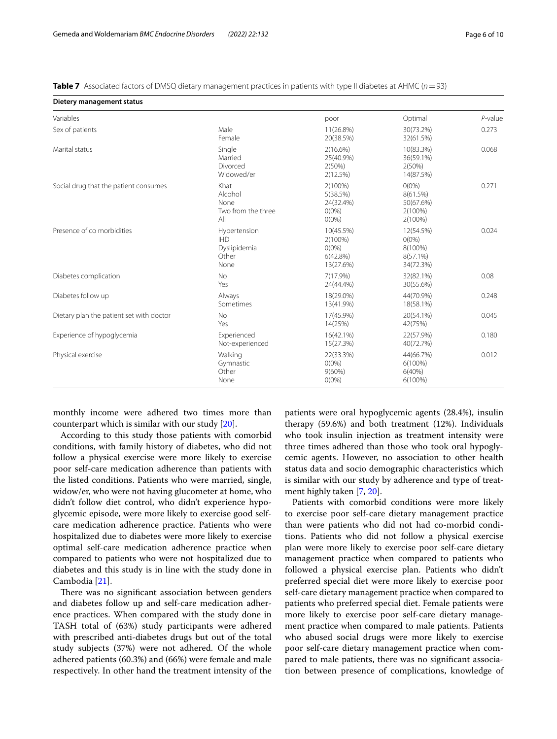<span id="page-5-0"></span>**Table 7** Associated factors of DMSQ dietary management practices in patients with type II diabetes at AHMC ( $n=93$ )

| Dietery management status                                    |                                                             |                                                           |                                                              |            |
|--------------------------------------------------------------|-------------------------------------------------------------|-----------------------------------------------------------|--------------------------------------------------------------|------------|
| Variables                                                    |                                                             | poor                                                      | Optimal                                                      | $P$ -value |
| Sex of patients                                              | Male<br>Female                                              | 11(26.8%)<br>20(38.5%)                                    | 30(73.2%)<br>32(61.5%)                                       | 0.273      |
| Marital status                                               | Single<br>Married<br>Divorced<br>Widowed/er                 | $2(16.6\%)$<br>25(40.9%)<br>2(50%)<br>2(12.5%)            | 10(83.3%)<br>36(59.1%)<br>2(50%)<br>14(87.5%)                | 0.068      |
| Social drug that the patient consumes                        | Khat<br>Alcohol<br>None<br>Two from the three<br>All        | 2(100%)<br>5(38.5%)<br>24(32.4%)<br>$0(0\%)$<br>$O(0\%)$  | $O(0\%)$<br>8(61.5%)<br>50(67.6%)<br>2(100%)<br>2(100%)      | 0.271      |
| Presence of co morbidities                                   | Hypertension<br><b>IHD</b><br>Dyslipidemia<br>Other<br>None | 10(45.5%)<br>2(100%)<br>$O(0\%)$<br>6(42.8%)<br>13(27.6%) | 12(54.5%)<br>$O(0\%)$<br>8(100%)<br>$8(57.1\%)$<br>34(72.3%) | 0.024      |
| Diabetes complication                                        | <b>No</b><br>Yes                                            | $7(17.9\%)$<br>24(44.4%)                                  | 32(82.1%)<br>30(55.6%)                                       | 0.08       |
| Diabetes follow up                                           | Always<br>Sometimes                                         | 18(29.0%)<br>13(41.9%)                                    | 44(70.9%)<br>18(58.1%)                                       | 0.248      |
| Dietary plan the patient set with doctor<br><b>No</b><br>Yes |                                                             | 17(45.9%)<br>14(25%)                                      | 20(54.1%)<br>42(75%)                                         | 0.045      |
| Experience of hypoglycemia                                   | Experienced<br>Not-experienced                              | 16(42.1%)<br>15(27.3%)                                    | 22(57.9%)<br>40(72.7%)                                       | 0.180      |
| Physical exercise                                            | Walking<br>Gymnastic<br>Other<br>None                       | 22(33.3%)<br>$O(0\%)$<br>$9(60\%)$<br>$O(0\%)$            | 44(66.7%)<br>$6(100\%)$<br>6(40%)<br>$6(100\%)$              | 0.012      |

monthly income were adhered two times more than counterpart which is similar with our study [[20](#page-9-12)].

According to this study those patients with comorbid conditions, with family history of diabetes, who did not follow a physical exercise were more likely to exercise poor self-care medication adherence than patients with the listed conditions. Patients who were married, single, widow/er, who were not having glucometer at home, who didn't follow diet control, who didn't experience hypoglycemic episode, were more likely to exercise good selfcare medication adherence practice. Patients who were hospitalized due to diabetes were more likely to exercise optimal self-care medication adherence practice when compared to patients who were not hospitalized due to diabetes and this study is in line with the study done in Cambodia [[21\]](#page-9-13).

There was no significant association between genders and diabetes follow up and self-care medication adherence practices. When compared with the study done in TASH total of (63%) study participants were adhered with prescribed anti-diabetes drugs but out of the total study subjects (37%) were not adhered. Of the whole adhered patients (60.3%) and (66%) were female and male respectively. In other hand the treatment intensity of the

patients were oral hypoglycemic agents (28.4%), insulin therapy (59.6%) and both treatment (12%). Individuals who took insulin injection as treatment intensity were three times adhered than those who took oral hypoglycemic agents. However, no association to other health status data and socio demographic characteristics which is similar with our study by adherence and type of treatment highly taken [[7,](#page-9-3) [20](#page-9-12)].

Patients with comorbid conditions were more likely to exercise poor self-care dietary management practice than were patients who did not had co-morbid conditions. Patients who did not follow a physical exercise plan were more likely to exercise poor self-care dietary management practice when compared to patients who followed a physical exercise plan. Patients who didn't preferred special diet were more likely to exercise poor self-care dietary management practice when compared to patients who preferred special diet. Female patients were more likely to exercise poor self-care dietary management practice when compared to male patients. Patients who abused social drugs were more likely to exercise poor self-care dietary management practice when compared to male patients, there was no signifcant association between presence of complications, knowledge of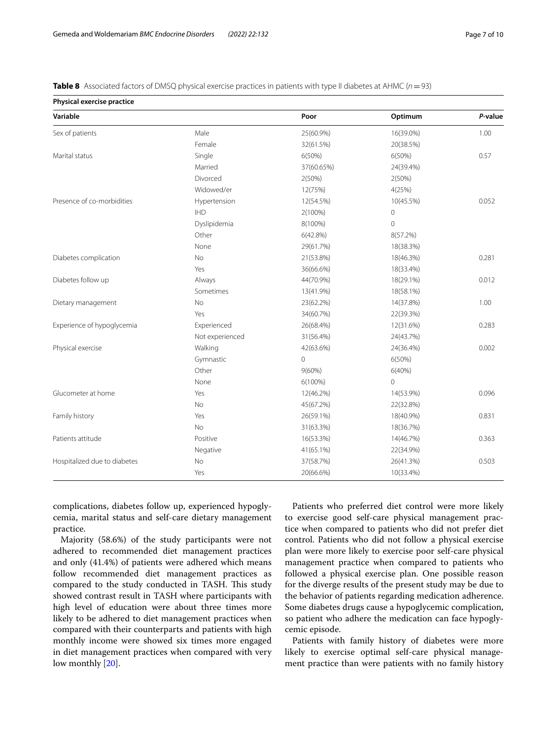<span id="page-6-0"></span>**Table 8** Associated factors of DMSQ physical exercise practices in patients with type II diabetes at AHMC ( $n=93$ )

|  | Physical exercise practice |
|--|----------------------------|
|  |                            |

| r nysical evercise practice  |                 |                |             |         |
|------------------------------|-----------------|----------------|-------------|---------|
| Variable                     |                 | Poor           | Optimum     | P-value |
| Sex of patients              | Male            | 25(60.9%)      | 16(39.0%)   | 1.00    |
|                              | Female          | 32(61.5%)      | 20(38.5%)   |         |
| Marital status               | Single          | 6(50%)         | 6(50%)      | 0.57    |
|                              | Married         | 37(60.65%)     | 24(39.4%)   |         |
|                              | Divorced        | 2(50%)         | 2(50%)      |         |
|                              | Widowed/er      | 12(75%)        | 4(25%)      |         |
| Presence of co-morbidities   | Hypertension    | 12(54.5%)      | 10(45.5%)   | 0.052   |
|                              | <b>IHD</b>      | 2(100%)        | 0           |         |
|                              | Dyslipidemia    | 8(100%)        | $\mathbf 0$ |         |
|                              | Other           | 6(42.8%)       | 8(57.2%)    |         |
|                              | None            | 29(61.7%)      | 18(38.3%)   |         |
| Diabetes complication        | <b>No</b>       | 21(53.8%)      | 18(46.3%)   | 0.281   |
|                              | Yes             | 36(66.6%)      | 18(33.4%)   |         |
| Diabetes follow up           | Always          | 44(70.9%)      | 18(29.1%)   | 0.012   |
|                              | Sometimes       | 13(41.9%)      | 18(58.1%)   |         |
| Dietary management           | <b>No</b>       | 23(62.2%)      | 14(37.8%)   | 1.00    |
|                              | Yes             | 34(60.7%)      | 22(39.3%)   |         |
| Experience of hypoglycemia   | Experienced     | 26(68.4%)      | 12(31.6%)   | 0.283   |
|                              | Not experienced | 31(56.4%)      | 24(43.7%)   |         |
| Physical exercise            | Walking         | 42(63.6%)      | 24(36.4%)   | 0.002   |
|                              | Gymnastic       | $\overline{0}$ | 6(50%)      |         |
|                              | Other           | $9(60\%)$      | 6(40%)      |         |
|                              | None            | $6(100\%)$     | 0           |         |
| Glucometer at home           | Yes             | 12(46.2%)      | 14(53.9%)   | 0.096   |
|                              | No              | 45(67.2%)      | 22(32.8%)   |         |
| Family history               | Yes             | 26(59.1%)      | 18(40.9%)   | 0.831   |
|                              | <b>No</b>       | 31(63.3%)      | 18(36.7%)   |         |
| Patients attitude            | Positive        | 16(53.3%)      | 14(46.7%)   | 0.363   |
|                              | Negative        | 41(65.1%)      | 22(34.9%)   |         |
| Hospitalized due to diabetes | No              | 37(58.7%)      | 26(41.3%)   | 0.503   |
|                              | Yes             | 20(66.6%)      | 10(33.4%)   |         |

complications, diabetes follow up, experienced hypoglycemia, marital status and self-care dietary management practice.

Majority (58.6%) of the study participants were not adhered to recommended diet management practices and only (41.4%) of patients were adhered which means follow recommended diet management practices as compared to the study conducted in TASH. This study showed contrast result in TASH where participants with high level of education were about three times more likely to be adhered to diet management practices when compared with their counterparts and patients with high monthly income were showed six times more engaged in diet management practices when compared with very low monthly [[20](#page-9-12)].

Patients who preferred diet control were more likely to exercise good self-care physical management practice when compared to patients who did not prefer diet control. Patients who did not follow a physical exercise plan were more likely to exercise poor self-care physical management practice when compared to patients who followed a physical exercise plan. One possible reason for the diverge results of the present study may be due to the behavior of patients regarding medication adherence. Some diabetes drugs cause a hypoglycemic complication, so patient who adhere the medication can face hypoglycemic episode.

Patients with family history of diabetes were more likely to exercise optimal self-care physical management practice than were patients with no family history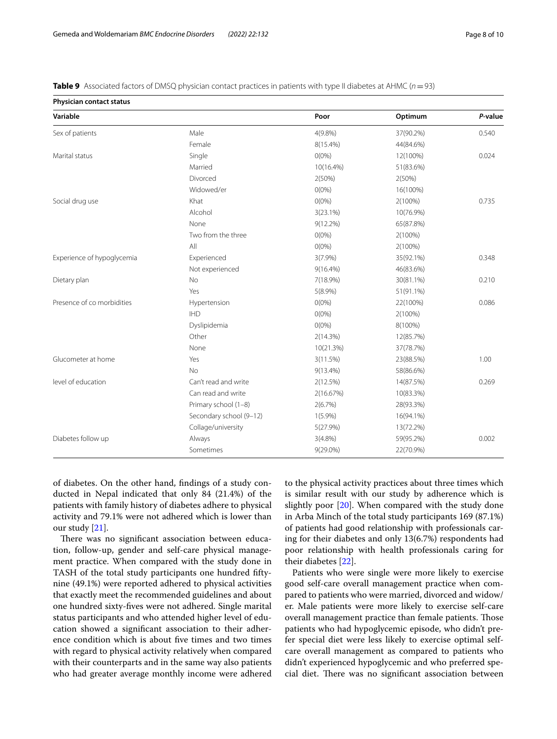<span id="page-7-0"></span>

|  |  | <b>Table 9</b> Associated factors of DMSQ physician contact practices in patients with type II diabetes at AHMC ( $n = 93$ ) |  |
|--|--|------------------------------------------------------------------------------------------------------------------------------|--|
|  |  |                                                                                                                              |  |

**Physician contact status**

| Physician contact status   |                         |             |            |         |
|----------------------------|-------------------------|-------------|------------|---------|
| Variable                   |                         | Poor        | Optimum    | P-value |
| Sex of patients            | Male                    | $4(9.8\%)$  | 37(90.2%)  | 0.540   |
|                            | Female                  | 8(15.4%)    | 44(84.6%)  |         |
| Marital status             | Single                  | $0(0\%)$    | 12(100%)   | 0.024   |
|                            | Married                 | 10(16.4%)   | 51(83.6%)  |         |
|                            | Divorced                | 2(50%)      | 2(50%)     |         |
|                            | Widowed/er              | $O(0\%)$    | 16(100%)   |         |
| Social drug use            | Khat                    | $O(0\%)$    | $2(100\%)$ | 0.735   |
|                            | Alcohol                 | 3(23.1%)    | 10(76.9%)  |         |
|                            | None                    | $9(12.2\%)$ | 65(87.8%)  |         |
|                            | Two from the three      | $O(0\%)$    | 2(100%)    |         |
|                            | All                     | $O(0\%)$    | 2(100%)    |         |
| Experience of hypoglycemia | Experienced             | $3(7.9\%)$  | 35(92.1%)  | 0.348   |
|                            | Not experienced         | $9(16.4\%)$ | 46(83.6%)  |         |
| Dietary plan               | <b>No</b>               | 7(18.9%)    | 30(81.1%)  | 0.210   |
|                            | Yes                     | $5(8.9\%)$  | 51(91.1%)  |         |
| Presence of co morbidities | Hypertension            | $O(0\%)$    | 22(100%)   | 0.086   |
|                            | <b>IHD</b>              | $O(0\%)$    | 2(100%)    |         |
|                            | Dyslipidemia            | $O(0\%)$    | 8(100%)    |         |
|                            | Other                   | 2(14.3%)    | 12(85.7%)  |         |
|                            | None                    | 10(21.3%)   | 37(78.7%)  |         |
| Glucometer at home         | Yes                     | 3(11.5%)    | 23(88.5%)  | 1.00    |
|                            | <b>No</b>               | $9(13.4\%)$ | 58(86.6%)  |         |
| level of education         | Can't read and write    | 2(12.5%)    | 14(87.5%)  | 0.269   |
|                            | Can read and write      | 2(16.67%)   | 10(83.3%)  |         |
|                            | Primary school (1-8)    | 2(6.7%)     | 28(93.3%)  |         |
|                            | Secondary school (9-12) | $1(5.9\%)$  | 16(94.1%)  |         |
|                            | Collage/university      | 5(27.9%)    | 13(72.2%)  |         |
| Diabetes follow up         | Always                  | $3(4.8\%)$  | 59(95.2%)  | 0.002   |
|                            | Sometimes               | 9(29.0%)    | 22(70.9%)  |         |

of diabetes. On the other hand, fndings of a study conducted in Nepal indicated that only 84 (21.4%) of the patients with family history of diabetes adhere to physical activity and 79.1% were not adhered which is lower than our study [[21\]](#page-9-13).

There was no significant association between education, follow-up, gender and self-care physical management practice. When compared with the study done in TASH of the total study participants one hundred fftynine (49.1%) were reported adhered to physical activities that exactly meet the recommended guidelines and about one hundred sixty-fves were not adhered. Single marital status participants and who attended higher level of education showed a signifcant association to their adherence condition which is about fve times and two times with regard to physical activity relatively when compared with their counterparts and in the same way also patients who had greater average monthly income were adhered to the physical activity practices about three times which is similar result with our study by adherence which is slightly poor [\[20](#page-9-12)]. When compared with the study done in Arba Minch of the total study participants 169 (87.1%) of patients had good relationship with professionals caring for their diabetes and only 13(6.7%) respondents had poor relationship with health professionals caring for their diabetes [[22](#page-9-14)].

Patients who were single were more likely to exercise good self-care overall management practice when compared to patients who were married, divorced and widow/ er. Male patients were more likely to exercise self-care overall management practice than female patients. Tose patients who had hypoglycemic episode, who didn't prefer special diet were less likely to exercise optimal selfcare overall management as compared to patients who didn't experienced hypoglycemic and who preferred special diet. There was no significant association between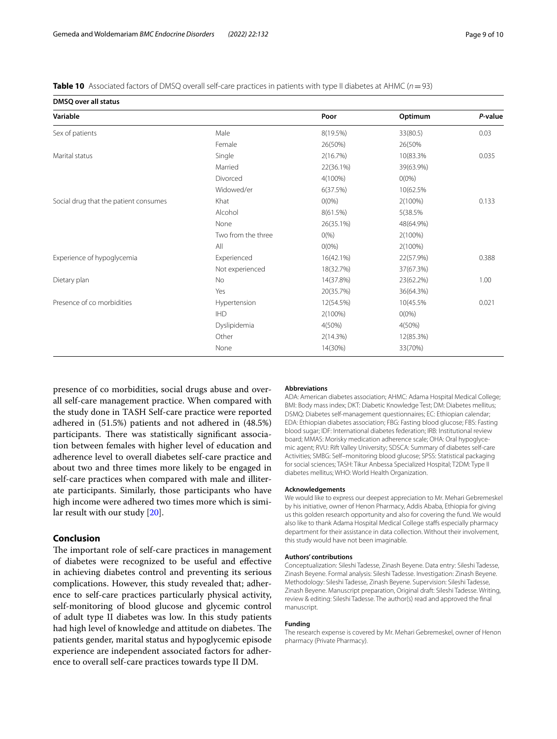<span id="page-8-0"></span>**Table 10** Associated factors of DMSQ overall self-care practices in patients with type II diabetes at AHMC ( $n=93$ )

**DMSQ over all status Variable Poor Optimum** *P***-value** Sex of patients and the state of the Male 8(19.5%) 33(80.5) 33(80.5) 33(80.5) 0.03 Female 26(50%) 26(50% Marital status 2008 10(83.3% 0.035 10(83.3% 0.035 10(83.3% 10) 10(83.3% 0.035 10(83.3% 0.035 10(83.3% 0.035 10 Married 22(36.1%) 39(63.9%) Divorced 4(100%) 0(0%) Widowed/er 6(37.5%) 10(62.5% Social drug that the patient consumes Khat 600%) 80.133 (100%) 2(100%) 0.133 Alcohol 8(61.5%) 5(38.5% None 26(35.1%) 48(64.9%) Two from the three  $0\%$   $0\%$  2(100%) All 0(0%) 2(100%) Experience of hypoglycemia **Experienced** 16(42.1%) 22(57.9%) 22(57.9%) 20.388 Not experienced 18(32.7%) 37(67.3%) Dietary plan No 14(37.8%) 23(62.2%) 1.00 Yes 20(35.7%) 36(64.3%) Presence of co morbidities example and the Hypertension 12(54.5% 10(45.5% 0.021 IHD 2(100%) 0(0%) Dyslipidemia 4(50%) 4(50%) Other 2(14.3%) 12(85.3%) None 14(30%) 33(70%)

presence of co morbidities, social drugs abuse and overall self-care management practice. When compared with the study done in TASH Self-care practice were reported adhered in (51.5%) patients and not adhered in (48.5%) participants. There was statistically significant association between females with higher level of education and adherence level to overall diabetes self-care practice and about two and three times more likely to be engaged in self-care practices when compared with male and illiterate participants. Similarly, those participants who have high income were adhered two times more which is similar result with our study [[20\]](#page-9-12).

### **Conclusion**

The important role of self-care practices in management of diabetes were recognized to be useful and efective in achieving diabetes control and preventing its serious complications. However, this study revealed that; adherence to self-care practices particularly physical activity, self-monitoring of blood glucose and glycemic control of adult type II diabetes was low. In this study patients had high level of knowledge and attitude on diabetes. The patients gender, marital status and hypoglycemic episode experience are independent associated factors for adherence to overall self-care practices towards type II DM.

#### **Abbreviations**

ADA: American diabetes association; AHMC: Adama Hospital Medical College; BMI: Body mass index; DKT: Diabetic Knowledge Test; DM: Diabetes mellitus; DSMQ: Diabetes self-management questionnaires; EC: Ethiopian calendar; EDA: Ethiopian diabetes association; FBG: Fasting blood glucose; FBS: Fasting blood sugar; IDF: International diabetes federation; IRB: Institutional review board; MMAS: Morisky medication adherence scale; OHA: Oral hypoglycemic agent; RVU: Rift Valley University; SDSCA: Summary of diabetes self-care Activities; SMBG: Self–monitoring blood glucose; SPSS: Statistical packaging for social sciences; TASH: Tikur Anbessa Specialized Hospital; T2DM: Type II diabetes mellitus; WHO: World Health Organization.

#### **Acknowledgements**

We would like to express our deepest appreciation to Mr. Mehari Gebremeskel by his initiative, owner of Henon Pharmacy, Addis Ababa, Ethiopia for giving us this golden research opportunity and also for covering the fund. We would also like to thank Adama Hospital Medical College staffs especially pharmacy department for their assistance in data collection. Without their involvement, this study would have not been imaginable.

#### **Authors' contributions**

Conceptualization: Sileshi Tadesse, Zinash Beyene. Data entry: Sileshi Tadesse, Zinash Beyene. Formal analysis: Sileshi Tadesse. Investigation: Zinash Beyene. Methodology: Sileshi Tadesse, Zinash Beyene. Supervision: Sileshi Tadesse, Zinash Beyene. Manuscript preparation, Original draft: Sileshi Tadesse. Writing, review & editing: Sileshi Tadesse. The author(s) read and approved the fnal manuscript.

#### **Funding**

The research expense is covered by Mr. Mehari Gebremeskel, owner of Henon pharmacy (Private Pharmacy).